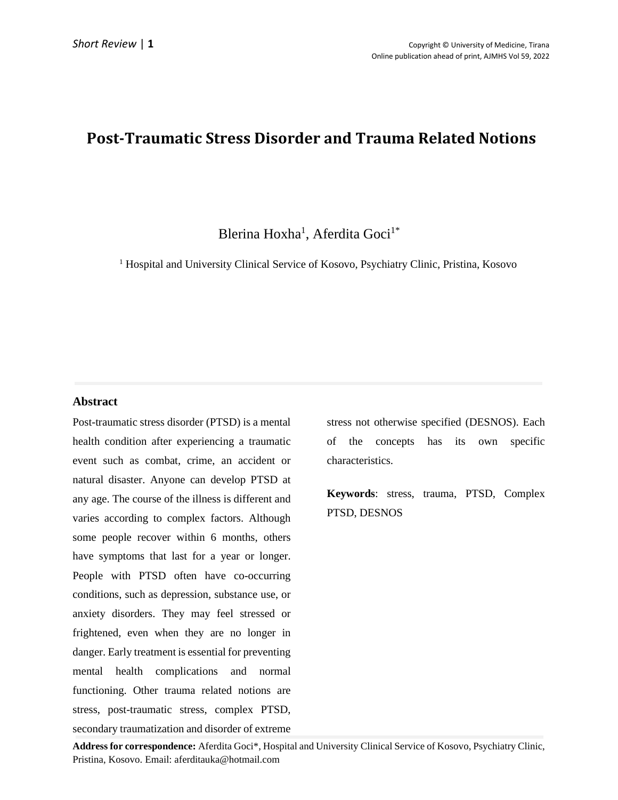# **Post-Traumatic Stress Disorder and Trauma Related Notions**

### Blerina Hoxha<sup>1</sup>, Aferdita Goci<sup>1\*</sup>

<sup>1</sup> Hospital and University Clinical Service of Kosovo, Psychiatry Clinic, Pristina, Kosovo

### **Abstract**

Post-traumatic stress disorder (PTSD) is a mental health condition after experiencing a traumatic event such as combat, crime, an accident or natural disaster. Anyone can develop PTSD at any age. The course of the illness is different and varies according to complex factors. Although some people recover within 6 months, others have symptoms that last for a year or longer. People with PTSD often have co-occurring conditions, such as depression, substance use, or anxiety disorders. They may feel stressed or frightened, even when they are no longer in danger. Early treatment is essential for preventing mental health complications and normal functioning. Other trauma related notions are stress, post-traumatic stress, complex PTSD, secondary traumatization and disorder of extreme

stress not otherwise specified (DESNOS). Each of the concepts has its own specific characteristics.

**Keywords**: stress, trauma, PTSD, Complex PTSD, DESNOS

**Address for correspondence:** Aferdita Goci\*, Hospital and University Clinical Service of Kosovo, Psychiatry Clinic, Pristina, Kosovo. Email: aferditauka@hotmail.com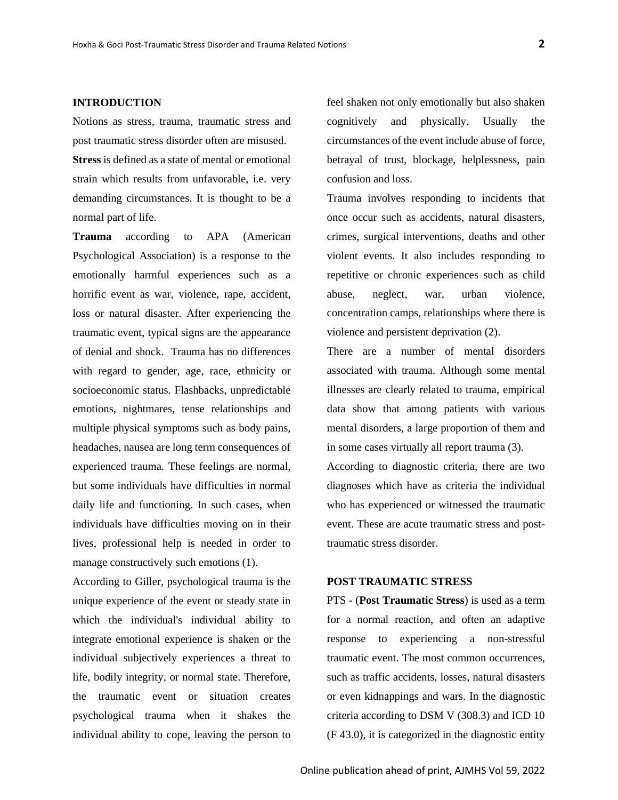#### **INTRODUCTION**

Notions as stress, trauma, traumatic stress and post traumatic stress disorder often are misused.

**Stress** is defined as a state of mental or emotional strain which results from unfavorable, i.e. very demanding circumstances. It is thought to be a normal part of life.

**Trauma** according to APA (American Psychological Association) is a response to the emotionally harmful experiences such as a horrific event as war, violence, rape, accident, loss or natural disaster. After experiencing the traumatic event, typical signs are the appearance of denial and shock. Trauma has no differences with regard to gender, age, race, ethnicity or socioeconomic status. Flashbacks, unpredictable emotions, nightmares, tense relationships and multiple physical symptoms such as body pains, headaches, nausea are long term consequences of experienced trauma. These feelings are normal, but some individuals have difficulties in normal daily life and functioning. In such cases, when individuals have difficulties moving on in their lives, professional help is needed in order to manage constructively such emotions (1).

According to Giller, psychological trauma is the unique experience of the event or steady state in which the individual's individual ability to integrate emotional experience is shaken or the individual subjectively experiences a threat to life, bodily integrity, or normal state. Therefore, the traumatic event or situation creates psychological trauma when it shakes the individual ability to cope, leaving the person to feel shaken not only emotionally but also shaken cognitively and physically. Usually the circumstances of the event include abuse of force, betrayal of trust, blockage, helplessness, pain confusion and loss.

Trauma involves responding to incidents that once occur such as accidents, natural disasters, crimes, surgical interventions, deaths and other violent events. It also includes responding to repetitive or chronic experiences such as child abuse, neglect, war, urban violence, concentration camps, relationships where there is violence and persistent deprivation (2).

There are a number of mental disorders associated with trauma. Although some mental illnesses are clearly related to trauma, empirical data show that among patients with various mental disorders, a large proportion of them and in some cases virtually all report trauma (3).

According to diagnostic criteria, there are two diagnoses which have as criteria the individual who has experienced or witnessed the traumatic event. These are acute traumatic stress and posttraumatic stress disorder.

#### **POST TRAUMATIC STRESS**

PTS - (**Post Traumatic Stress**) is used as a term for a normal reaction, and often an adaptive response to experiencing a non-stressful traumatic event. The most common occurrences, such as traffic accidents, losses, natural disasters or even kidnappings and wars. In the diagnostic criteria according to DSM V (308.3) and ICD 10 (F 43.0), it is categorized in the diagnostic entity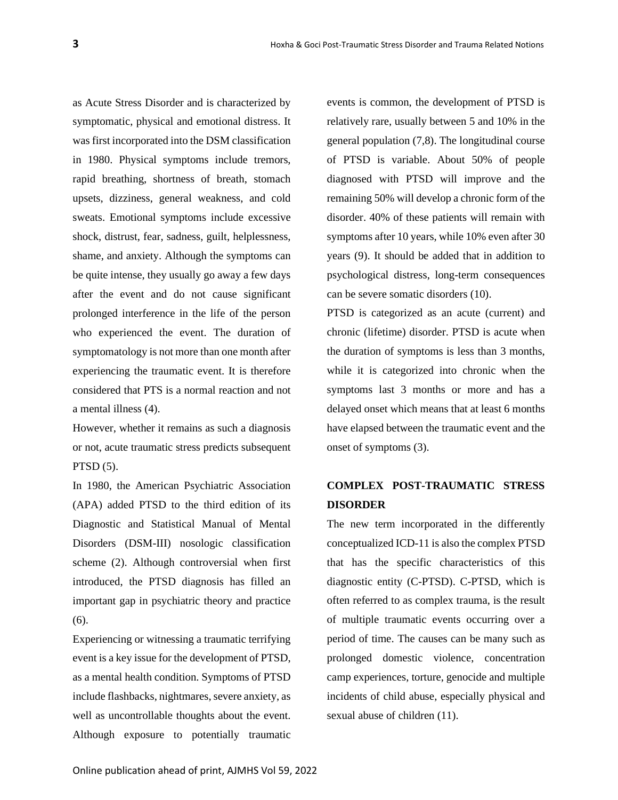as Acute Stress Disorder and is characterized by symptomatic, physical and emotional distress. It was first incorporated into the DSM classification in 1980. Physical symptoms include tremors, rapid breathing, shortness of breath, stomach upsets, dizziness, general weakness, and cold sweats. Emotional symptoms include excessive shock, distrust, fear, sadness, guilt, helplessness, shame, and anxiety. Although the symptoms can be quite intense, they usually go away a few days after the event and do not cause significant prolonged interference in the life of the person who experienced the event. The duration of symptomatology is not more than one month after experiencing the traumatic event. It is therefore considered that PTS is a normal reaction and not a mental illness (4).

However, whether it remains as such a diagnosis or not, acute traumatic stress predicts subsequent PTSD (5).

In 1980, the American Psychiatric Association (APA) added PTSD to the third edition of its Diagnostic and Statistical Manual of Mental Disorders (DSM-III) nosologic classification scheme (2). Although controversial when first introduced, the PTSD diagnosis has filled an important gap in psychiatric theory and practice (6).

Experiencing or witnessing a traumatic terrifying event is a key issue for the development of PTSD, as a mental health condition. Symptoms of PTSD include flashbacks, nightmares, severe anxiety, as well as uncontrollable thoughts about the event. Although exposure to potentially traumatic events is common, the development of PTSD is relatively rare, usually between 5 and 10% in the general population (7,8). The longitudinal course of PTSD is variable. About 50% of people diagnosed with PTSD will improve and the remaining 50% will develop a chronic form of the disorder. 40% of these patients will remain with symptoms after 10 years, while 10% even after 30 years (9). It should be added that in addition to psychological distress, long-term consequences can be severe somatic disorders (10).

PTSD is categorized as an acute (current) and chronic (lifetime) disorder. PTSD is acute when the duration of symptoms is less than 3 months, while it is categorized into chronic when the symptoms last 3 months or more and has a delayed onset which means that at least 6 months have elapsed between the traumatic event and the onset of symptoms (3).

### **COMPLEX POST-TRAUMATIC STRESS DISORDER**

The new term incorporated in the differently conceptualized ICD-11 is also the complex PTSD that has the specific characteristics of this diagnostic entity (C-PTSD). C-PTSD, which is often referred to as complex trauma, is the result of multiple traumatic events occurring over a period of time. The causes can be many such as prolonged domestic violence, concentration camp experiences, torture, genocide and multiple incidents of child abuse, especially physical and sexual abuse of children (11).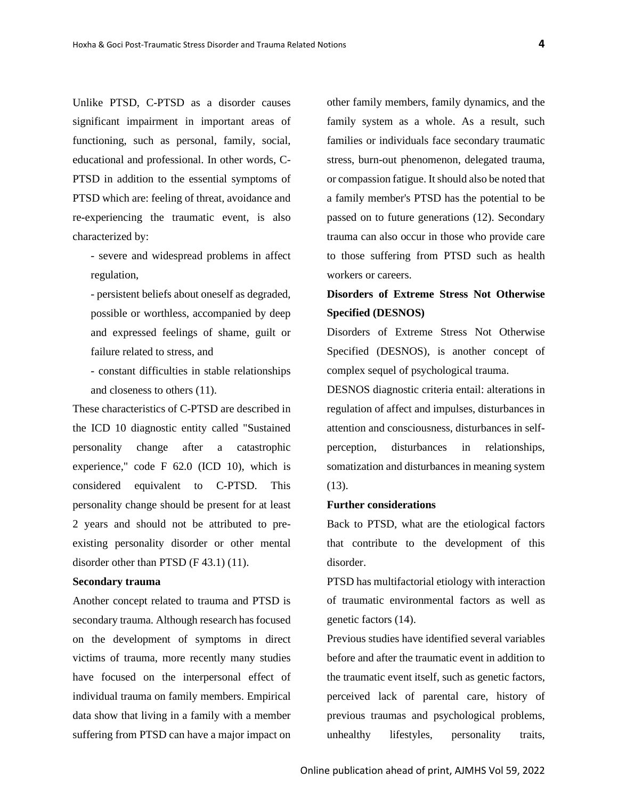Unlike PTSD, C-PTSD as a disorder causes significant impairment in important areas of functioning, such as personal, family, social, educational and professional. In other words, C-PTSD in addition to the essential symptoms of PTSD which are: feeling of threat, avoidance and re-experiencing the traumatic event, is also characterized by:

- severe and widespread problems in affect regulation,

- persistent beliefs about oneself as degraded, possible or worthless, accompanied by deep and expressed feelings of shame, guilt or failure related to stress, and

- constant difficulties in stable relationships and closeness to others (11).

These characteristics of C-PTSD are described in the ICD 10 diagnostic entity called "Sustained personality change after a catastrophic experience," code F 62.0 (ICD 10), which is considered equivalent to C-PTSD. This personality change should be present for at least 2 years and should not be attributed to preexisting personality disorder or other mental disorder other than PTSD (F 43.1) (11).

#### **Secondary trauma**

Another concept related to trauma and PTSD is secondary trauma. Although research has focused on the development of symptoms in direct victims of trauma, more recently many studies have focused on the interpersonal effect of individual trauma on family members. Empirical data show that living in a family with a member suffering from PTSD can have a major impact on

other family members, family dynamics, and the family system as a whole. As a result, such families or individuals face secondary traumatic stress, burn-out phenomenon, delegated trauma, or compassion fatigue. It should also be noted that a family member's PTSD has the potential to be passed on to future generations (12). Secondary trauma can also occur in those who provide care to those suffering from PTSD such as health workers or careers.

## **Disorders of Extreme Stress Not Otherwise Specified (DESNOS)**

Disorders of Extreme Stress Not Otherwise Specified (DESNOS), is another concept of complex sequel of psychological trauma.

DESNOS diagnostic criteria entail: alterations in regulation of affect and impulses, disturbances in attention and consciousness, disturbances in selfperception, disturbances in relationships, somatization and disturbances in meaning system (13).

### **Further considerations**

Back to PTSD, what are the etiological factors that contribute to the development of this disorder.

PTSD has multifactorial etiology with interaction of traumatic environmental factors as well as genetic factors (14).

Previous studies have identified several variables before and after the traumatic event in addition to the traumatic event itself, such as genetic factors, perceived lack of parental care, history of previous traumas and psychological problems, unhealthy lifestyles, personality traits,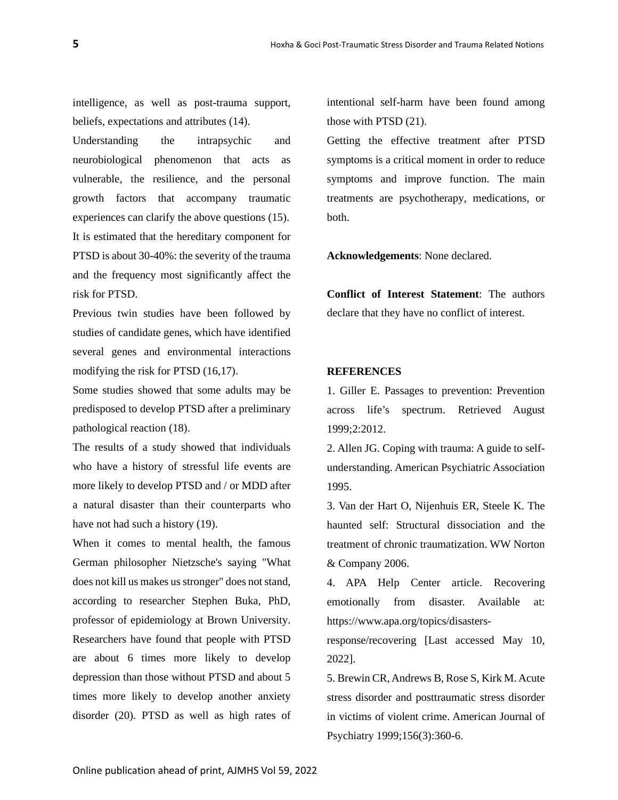intelligence, as well as post-trauma support, beliefs, expectations and attributes (14).

Understanding the intrapsychic and neurobiological phenomenon that acts as vulnerable, the resilience, and the personal growth factors that accompany traumatic experiences can clarify the above questions (15). It is estimated that the hereditary component for PTSD is about 30-40%: the severity of the trauma and the frequency most significantly affect the risk for PTSD.

Previous twin studies have been followed by studies of candidate genes, which have identified several genes and environmental interactions modifying the risk for PTSD (16,17).

Some studies showed that some adults may be predisposed to develop PTSD after a preliminary pathological reaction (18).

The results of a study showed that individuals who have a history of stressful life events are more likely to develop PTSD and / or MDD after a natural disaster than their counterparts who have not had such a history (19).

When it comes to mental health, the famous German philosopher Nietzsche's saying "What does not kill us makes us stronger" does not stand, according to researcher Stephen Buka, PhD, professor of epidemiology at Brown University. Researchers have found that people with PTSD are about 6 times more likely to develop depression than those without PTSD and about 5 times more likely to develop another anxiety disorder (20). PTSD as well as high rates of

intentional self-harm have been found among those with PTSD (21).

Getting the effective treatment after PTSD symptoms is a critical moment in order to reduce symptoms and improve function. The main treatments are psychotherapy, medications, or both.

**Acknowledgements**: None declared.

**Conflict of Interest Statement**: The authors declare that they have no conflict of interest.

### **REFERENCES**

1. Giller E. Passages to prevention: Prevention across life's spectrum. Retrieved August 1999;2:2012.

2. Allen JG. Coping with trauma: A guide to selfunderstanding. American Psychiatric Association 1995.

3. Van der Hart O, Nijenhuis ER, Steele K. The haunted self: Structural dissociation and the treatment of chronic traumatization. WW Norton & Company 2006.

4. APA Help Center article. Recovering emotionally from disaster. Available at: https://www.apa.org/topics/disasters-

response/recovering [Last accessed May 10, 2022].

5. Brewin CR, Andrews B, Rose S, Kirk M. Acute stress disorder and posttraumatic stress disorder in victims of violent crime. American Journal of Psychiatry 1999;156(3):360-6.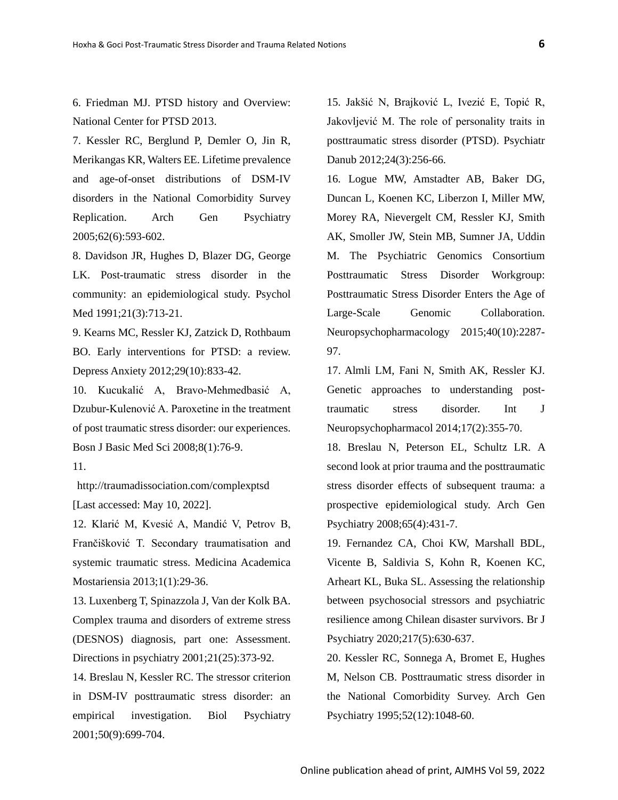6. Friedman MJ. PTSD history and Overview: National Center for PTSD 2013.

7. Kessler RC, Berglund P, Demler O, Jin R, Merikangas KR, Walters EE. Lifetime prevalence and age-of-onset distributions of DSM-IV disorders in the National Comorbidity Survey Replication. Arch Gen Psychiatry 2005;62(6):593-602.

8. Davidson JR, Hughes D, Blazer DG, George LK. Post-traumatic stress disorder in the community: an epidemiological study. Psychol Med 1991;21(3):713-21.

9. Kearns MC, Ressler KJ, Zatzick D, Rothbaum BO. Early interventions for PTSD: a review. Depress Anxiety 2012;29(10):833-42.

10. Kucukalić A, Bravo-Mehmedbasić A, Dzubur-Kulenović A. Paroxetine in the treatment of post traumatic stress disorder: our experiences. Bosn J Basic Med Sci 2008;8(1):76-9.

11.

http://traumadissociation.com/complexptsd [Last accessed: May 10, 2022].

12. Klarić M, Kvesić A, Mandić V, Petrov B, Frančišković T. Secondary traumatisation and systemic traumatic stress. Medicina Academica Mostariensia 2013;1(1):29-36.

13. Luxenberg T, Spinazzola J, Van der Kolk BA. Complex trauma and disorders of extreme stress (DESNOS) diagnosis, part one: Assessment. Directions in psychiatry 2001;21(25):373-92.

14. Breslau N, Kessler RC. The stressor criterion in DSM-IV posttraumatic stress disorder: an empirical investigation. Biol Psychiatry 2001;50(9):699-704.

15. Jakšić N, Brajković L, Ivezić E, Topić R, Jakovljević M. The role of personality traits in posttraumatic stress disorder (PTSD). Psychiatr Danub 2012;24(3):256-66.

16. Logue MW, Amstadter AB, Baker DG, Duncan L, Koenen KC, Liberzon I, Miller MW, Morey RA, Nievergelt CM, Ressler KJ, Smith AK, Smoller JW, Stein MB, Sumner JA, Uddin M. The Psychiatric Genomics Consortium Posttraumatic Stress Disorder Workgroup: Posttraumatic Stress Disorder Enters the Age of Large-Scale Genomic Collaboration. Neuropsychopharmacology 2015;40(10):2287- 97.

17. Almli LM, Fani N, Smith AK, Ressler KJ. Genetic approaches to understanding posttraumatic stress disorder. Int J Neuropsychopharmacol 2014;17(2):355-70.

18. Breslau N, Peterson EL, Schultz LR. A second look at prior trauma and the posttraumatic stress disorder effects of subsequent trauma: a prospective epidemiological study. Arch Gen Psychiatry 2008;65(4):431-7.

19. Fernandez CA, Choi KW, Marshall BDL, Vicente B, Saldivia S, Kohn R, Koenen KC, Arheart KL, Buka SL. Assessing the relationship between psychosocial stressors and psychiatric resilience among Chilean disaster survivors. Br J Psychiatry 2020;217(5):630-637.

20. Kessler RC, Sonnega A, Bromet E, Hughes M, Nelson CB. Posttraumatic stress disorder in the National Comorbidity Survey. Arch Gen Psychiatry 1995;52(12):1048-60.